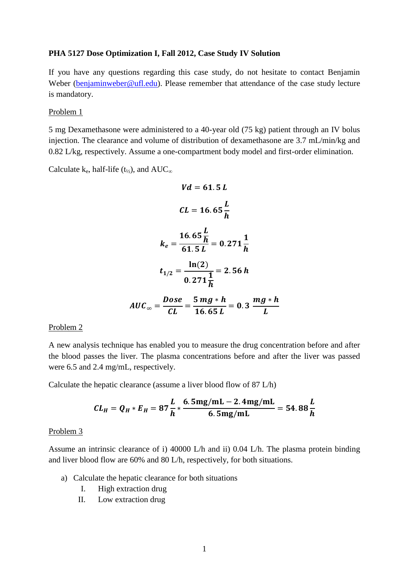#### **PHA 5127 Dose Optimization I, Fall 2012, Case Study IV Solution**

If you have any questions regarding this case study, do not hesitate to contact Benjamin Weber [\(benjaminweber@ufl.edu\)](mailto:benjaminweber@ufl.edu). Please remember that attendance of the case study lecture is mandatory.

#### Problem 1

5 mg Dexamethasone were administered to a 40-year old (75 kg) patient through an IV bolus injection. The clearance and volume of distribution of dexamethasone are 3.7 mL/min/kg and 0.82 L/kg, respectively. Assume a one-compartment body model and first-order elimination.

Calculate k<sub>e</sub>, half-life (t<sub>½</sub>), and  $AUC_{\infty}$ 

$$
Vd = 61.5 L
$$
  
\n
$$
CL = 16.65 \frac{L}{h}
$$
  
\n
$$
k_e = \frac{16.65 \frac{L}{h}}{61.5 L} = 0.271 \frac{1}{h}
$$
  
\n
$$
t_{1/2} = \frac{\ln(2)}{0.271 \frac{1}{h}} = 2.56 h
$$
  
\n
$$
AUC_{\infty} = \frac{Dose}{CL} = \frac{5 mg * h}{16.65 L} = 0.3 \frac{mg * h}{L}
$$

#### Problem 2

A new analysis technique has enabled you to measure the drug concentration before and after the blood passes the liver. The plasma concentrations before and after the liver was passed were 6.5 and 2.4 mg/mL, respectively.

Calculate the hepatic clearance (assume a liver blood flow of 87 L/h)

$$
CL_H = Q_H * E_H = 87 \frac{L}{h} * \frac{6.5 \text{mg/mL} - 2.4 \text{mg/mL}}{6.5 \text{mg/mL}} = 54.88 \frac{L}{h}
$$

#### Problem 3

Assume an intrinsic clearance of i) 40000 L/h and ii) 0.04 L/h. The plasma protein binding and liver blood flow are 60% and 80 L/h, respectively, for both situations.

- a) Calculate the hepatic clearance for both situations
	- I. High extraction drug
	- II. Low extraction drug